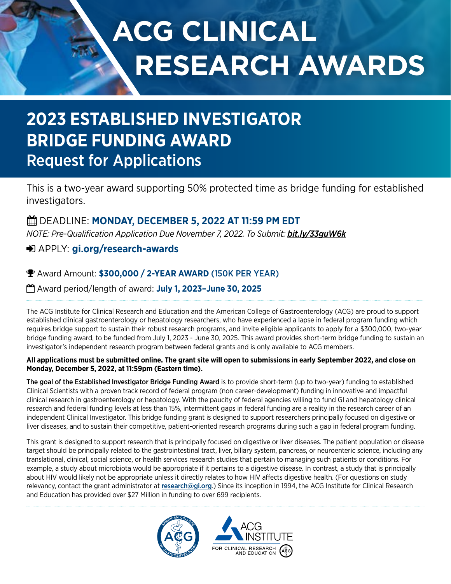# **ACG CLINICAL RESEARCH AWARDS**

# **2023 ESTABLISHED INVESTIGATOR BRIDGE FUNDING AWARD** Request for Applications

This is a two-year award supporting 50% protected time as bridge funding for established investigators.

# DEADLINE: **MONDAY, DECEMBER 5, 2022 AT 11:59 PM EDT**

*NOTE: Pre-Qualification Application Due November 7, 2022. To Submit: [bit.ly/33guW6k](https://bit.ly/33guW6k )*

# APPLY: **[gi.org/research-awards](https://gi.org/acg-institute/research-awards/)**

# Award Amount: **\$300,000 / 2-YEAR AWARD** (150K PER YEAR)

Award period/length of award: **July 1, 2023–June 30, 2025**

The ACG Institute for Clinical Research and Education and the American College of Gastroenterology (ACG) are proud to support established clinical gastroenterology or hepatology researchers, who have experienced a lapse in federal program funding which requires bridge support to sustain their robust research programs, and invite eligible applicants to apply for a \$300,000, two-year bridge funding award, to be funded from July 1, 2023 - June 30, 2025. This award provides short-term bridge funding to sustain an investigator's independent research program between federal grants and is only available to ACG members.

## **All applications must be submitted online. The grant site will open to submissions in early September 2022, and close on Monday, December 5, 2022, at 11:59pm (Eastern time).**

The goal of the Established Investigator Bridge Funding Award is to provide short-term (up to two-year) funding to established Clinical Scientists with a proven track record of federal program (non career-development) funding in innovative and impactful clinical research in gastroenterology or hepatology. With the paucity of federal agencies willing to fund GI and hepatology clinical research and federal funding levels at less than 15%, intermittent gaps in federal funding are a reality in the research career of an independent Clinical Investigator. This bridge funding grant is designed to support researchers principally focused on digestive or liver diseases, and to sustain their competitive, patient-oriented research programs during such a gap in federal program funding.

This grant is designed to support research that is principally focused on digestive or liver diseases. The patient population or disease target should be principally related to the gastrointestinal tract, liver, biliary system, pancreas, or neuroenteric science, including any translational, clinical, social science, or health services research studies that pertain to managing such patients or conditions. For example, a study about microbiota would be appropriate if it pertains to a digestive disease. In contrast, a study that is principally about HIV would likely not be appropriate unless it directly relates to how HIV affects digestive health. (For questions on study relevancy, contact the grant administrator at [research@gi.org](mailto:research%40gi.org?subject=ACG%20Established%20Investigator%20Bridge%20Funding%20Award).) Since its inception in 1994, the ACG Institute for Clinical Research and Education has provided over \$27 Million in funding to over 699 recipients.

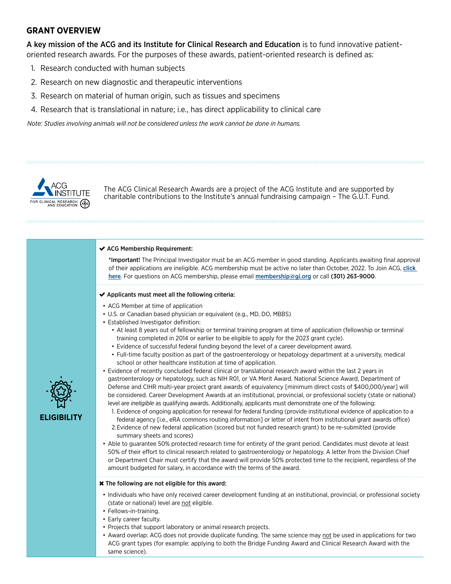# **GRANT OVERVIEW**

A key mission of the ACG and its Institute for Clinical Research and Education is to fund innovative patientoriented research awards. For the purposes of these awards, patient-oriented research is defined as:

- 1. Research conducted with human subjects
- 2. Research on new diagnostic and therapeutic interventions
- 3. Research on material of human origin, such as tissues and specimens
- 4. Research that is translational in nature; i.e., has direct applicability to clinical care

*Note: Studies involving animals will not be considered unless the work cannot be done in humans.* 



The ACG Clinical Research Awards are a project of the ACG Institute and are supported by charitable contributions to the Institute's annual fundraising campaign – The G.U.T. Fund.

,我们的是我们的,我们的是我们的,我们的是我们的,我们的是我们的,我们的是我们的。"我们的是我们的,我们的是我们的。我们的是我们的,我们的是我们的。我们的是我们的

#### ◆ ACG Membership Requirement:

\*Important! The Principal Investigator must be an ACG member in good standing. Applicants awaiting final approval of their applications are ineligible. ACG membership must be active no later than October, 2022. To Join ACG, click [here](https://gi.org/membership/join-acg). For questions on ACG membership, please email [membership@gi.org](mailto:membership%40gi.org?subject=) or call (301) 263-9000.

#### $\blacktriangleright$  Applicants must meet all the following criteria:

- ACG Member at time of application
- U.S. or Canadian based physician or equivalent (e.g., MD, DO, MBBS)
- Established Investigator definition:
	- At least 8 years out of fellowship or terminal training program at time of application (fellowship or terminal training completed in 2014 or earlier to be eligible to apply for the 2023 grant cycle).
	- Evidence of successful federal funding beyond the level of a career development award.
	- Full-time faculty position as part of the gastroenterology or hepatology department at a university, medical school or other healthcare institution at time of application.
- Evidence of recently concluded federal clinical or translational research award within the last 2 years in gastroenterology or hepatology, such as NIH R01, or VA Merit Award. National Science Award, Department of Defense and CIHR multi-year project grant awards of equivalency [minimum direct costs of \$400,000/year] will be considered. Career Development Awards at an institutional, provincial, or professional society (state or national) level are *ineligible* as qualifying awards. Additionally, applicants must demonstrate one of the following:
	- 1. Evidence of ongoing application for renewal for federal funding (provide institutional evidence of application to a federal agency [i.e., eRA commons routing information] or letter of intent from institutional grant awards office)
	- 2.Evidence of new federal application (scored but not funded research grant) to be re-submitted (provide summary sheets and scores)
- Able to guarantee 50% protected research time for entirety of the grant period. Candidates must devote at least 50% of their effort to clinical research related to gastroenterology or hepatology. A letter from the Division Chief or Department Chair must certify that the award will provide 50% protected time to the recipient, regardless of the amount budgeted for salary, in accordance with the terms of the award.

#### The following are not eligible for this award:

- Individuals who have only received career development funding at an institutional, provincial, or professional society (state or national) level are not eligible.
- Fellows-in-training.
- Early career faculty.
- Projects that support laboratory or animal research projects.
- Award overlap: ACG does not provide duplicate funding. The same science may not be used in applications for two ACG grant types (for example: applying to both the Bridge Funding Award and Clinical Research Award with the same science).

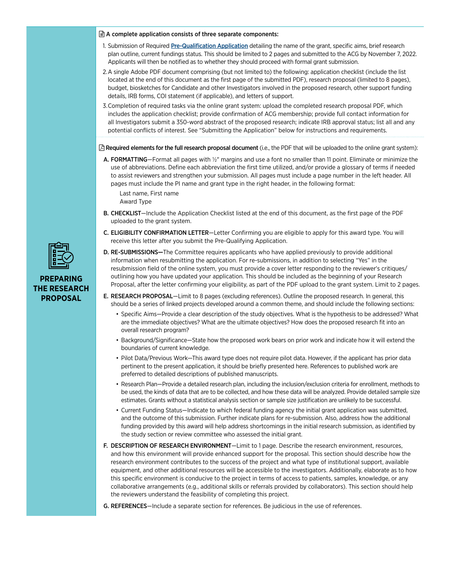#### $\triangleq$  A complete application consists of three separate components:

- 1. Submission of Required [Pre-Qualification Application](https://bit.ly/33guW6k) detailing the name of the grant, specific aims, brief research plan outline, current fundings status. This should be limited to 2 pages and submitted to the ACG by November 7, 2022. Applicants will then be notified as to whether they should proceed with formal grant submission.
- 2.A single Adobe PDF document comprising (but not limited to) the following: application checklist (include the list located at the end of this document as the first page of the submitted PDF), research proposal (limited to 8 pages), budget, biosketches for Candidate and other Investigators involved in the proposed research, other support funding details, IRB forms, COI statement (if applicable), and letters of support.
- 3.Completion of required tasks via the online grant system: upload the completed research proposal PDF, which includes the application checklist; provide confirmation of ACG membership; provide full contact information for all Investigators submit a 350-word abstract of the proposed research; indicate IRB approval status; list all and any potential conflicts of interest. See "Submitting the Application" below for instructions and requirements.

 $\boxtimes$  Required elements for the full research proposal document (i.e., the PDF that will be uploaded to the online grant system):

A. FORMATTING—Format all pages with 1/2" margins and use a font no smaller than 11 point. Eliminate or minimize the use of abbreviations. Define each abbreviation the first time utilized, and/or provide a glossary of terms if needed to assist reviewers and strengthen your submission. All pages must include a page number in the left header. All pages must include the PI name and grant type in the right header, in the following format:

Last name, First name Award Type

- B. CHECKLIST—Include the Application Checklist listed at the end of this document, as the first page of the PDF uploaded to the grant system.
- C. ELIGIBILITY CONFIRMATION LETTER—Letter Confirming you are eligible to apply for this award type. You will receive this letter after you submit the Pre-Qualifying Application.
- D. RE-SUBMISSIONS—The Committee requires applicants who have applied previously to provide additional information when resubmitting the application. For re-submissions, in addition to selecting "Yes" in the resubmission field of the online system, you must provide a cover letter responding to the reviewer's critiques/ outlining how you have updated your application. This should be included as the beginning of your Research Proposal, after the letter confirming your eligibility, as part of the PDF upload to the grant system. Limit to 2 pages.
- E. RESEARCH PROPOSAL—Limit to 8 pages (excluding references). Outline the proposed research. In general, this should be a series of linked projects developed around a common theme, and should include the following sections:
	- Specific Aims—Provide a clear description of the study objectives. What is the hypothesis to be addressed? What are the immediate objectives? What are the ultimate objectives? How does the proposed research fit into an overall research program?
	- Background/Significance—State how the proposed work bears on prior work and indicate how it will extend the boundaries of current knowledge.
	- Pilot Data/Previous Work—This award type does not require pilot data. However, if the applicant has prior data pertinent to the present application, it should be briefly presented here. References to published work are preferred to detailed descriptions of published manuscripts.
	- Research Plan—Provide a detailed research plan, including the inclusion/exclusion criteria for enrollment, methods to be used, the kinds of data that are to be collected, and how these data will be analyzed. Provide detailed sample size estimates. Grants without a statistical analysis section or sample size justification are unlikely to be successful.
	- Current Funding Status—Indicate to which federal funding agency the initial grant application was submitted, and the outcome of this submission. Further indicate plans for re-submission. Also, address how the additional funding provided by this award will help address shortcomings in the initial research submission, as identified by the study section or review committee who assessed the initial grant.
- F. DESCRIPTION OF RESEARCH ENVIRONMENT-Limit to 1 page. Describe the research environment, resources, and how this environment will provide enhanced support for the proposal. This section should describe how the research environment contributes to the success of the project and what type of institutional support, available equipment, and other additional resources will be accessible to the investigators. Additionally, elaborate as to how this specific environment is conducive to the project in terms of access to patients, samples, knowledge, or any collaborative arrangements (e.g., additional skills or referrals provided by collaborators). This section should help the reviewers understand the feasibility of completing this project.
- G. REFERENCES-Include a separate section for references. Be judicious in the use of references.



## **PREPARING THE RESEARCH PROPOSAL**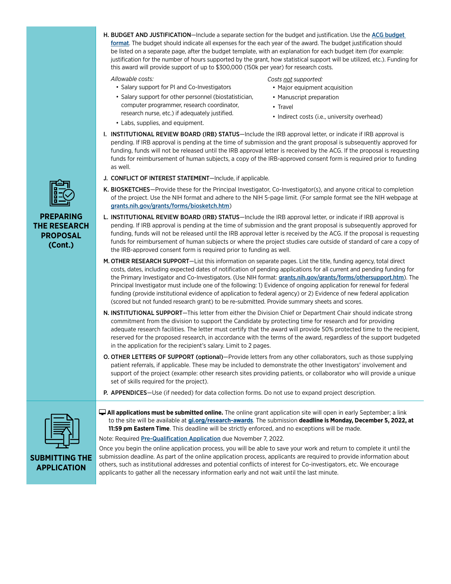H. BUDGET AND JUSTIFICATION—Include a separate section for the budget and justification. Use the ACG budget [format](https://webfiles.gi.org/docs/institute/ACG-Research-Awards-budget-template.xlsx). The budget should indicate all expenses for the each year of the award. The budget justification should be listed on a separate page, after the budget template, with an explanation for each budget item (for example: justification for the number of hours supported by the grant, how statistical support will be utilized, etc.). Funding for this award will provide support of up to \$300,000 (150k per year) for research costs.

*Allowable costs:*

- Salary support for PI and Co-Investigators
- Salary support for other personnel (biostatistician, computer programmer, research coordinator, research nurse, etc.) if adequately justified.
- Labs, supplies, and equipment.

*Costs not supported:*

- Major equipment acquisition
- Manuscript preparation
- Travel
- Indirect costs (i.e., university overhead)
- I. INSTITUTIONAL REVIEW BOARD (IRB) STATUS-Include the IRB approval letter, or indicate if IRB approval is pending. If IRB approval is pending at the time of submission and the grant proposal is subsequently approved for funding, funds will not be released until the IRB approval letter is received by the ACG. If the proposal is requesting funds for reimbursement of human subjects, a copy of the IRB-approved consent form is required prior to funding as well.
- J. CONFLICT OF INTEREST STATEMENT—Include, if applicable.
- K. BIOSKETCHES-Provide these for the Principal Investigator, Co-Investigator(s), and anyone critical to completion of the project. Use the NIH format and adhere to the NIH 5-page limit. (For sample format see the NIH webpage at [grants.nih.gov/grants/forms/biosketch.htm](http://grants.nih.gov/grants/forms/biosketch.htm))
- L. INSTITUTIONAL REVIEW BOARD (IRB) STATUS—Include the IRB approval letter, or indicate if IRB approval is pending. If IRB approval is pending at the time of submission and the grant proposal is subsequently approved for funding, funds will not be released until the IRB approval letter is received by the ACG. If the proposal is requesting funds for reimbursement of human subjects or where the project studies care outside of standard of care a copy of the IRB-approved consent form is required prior to funding as well.
- M. OTHER RESEARCH SUPPORT—List this information on separate pages. List the title, funding agency, total direct costs, dates, including expected dates of notification of pending applications for all current and pending funding for the Primary Investigator and Co-Investigators. (Use NIH format: [grants.nih.gov/grants/forms/othersupport.htm](http://grants.nih.gov/grants/forms/othersupport.htm)). The Principal Investigator must include one of the following: 1) Evidence of ongoing application for renewal for federal funding (provide institutional evidence of application to federal agency) or 2) Evidence of new federal application (scored but not funded research grant) to be re-submitted. Provide summary sheets and scores.
- N. INSTITUTIONAL SUPPORT—This letter from either the Division Chief or Department Chair should indicate strong commitment from the division to support the Candidate by protecting time for research and for providing adequate research facilities. The letter must certify that the award will provide 50% protected time to the recipient, reserved for the proposed research, in accordance with the terms of the award, regardless of the support budgeted in the application for the recipient's salary. Limit to 2 pages.
- O. OTHER LETTERS OF SUPPORT (optional)—Provide letters from any other collaborators, such as those supplying patient referrals, if applicable. These may be included to demonstrate the other Investigators' involvement and support of the project (example: other research sites providing patients, or collaborator who will provide a unique set of skills required for the project).
- P. APPENDICES-Use (if needed) for data collection forms. Do not use to expand project description.



**SUBMITTING THE APPLICATION**

 **All applications must be submitted online.** The online grant application site will open in early September; a link to the site will be available at **[gi.org/research-awards](https://gi.org/acg-institute/research-awards/)**. The submission **deadline is Monday, December 5, 2022, at 11:59 pm Eastern Time**. This deadline will be strictly enforced, and no exceptions will be made. Note: Required [Pre-Qualification Application](https://bit.ly/33guW6k) due November 7, 2022.

Once you begin the online application process, you will be able to save your work and return to complete it until the submission deadline. As part of the online application process, applicants are required to provide information about others, such as institutional addresses and potential conflicts of interest for Co-investigators, etc. We encourage applicants to gather all the necessary information early and not wait until the last minute.



**PREPARING THE RESEARCH PROPOSAL (Cont.)**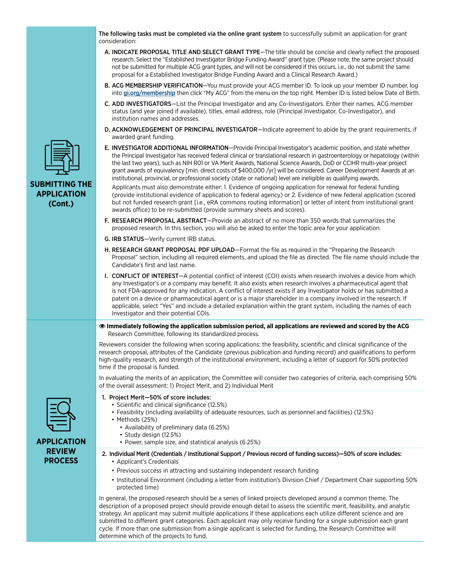**APPLICATION REVIEW PROCESS Immediately following the application submission period, all applications are reviewed and scored by the ACG**  Research Committee, following its standardized process. Reviewers consider the following when scoring applications: the feasibility, scientific and clinical significance of the research proposal, attributes of the Candidate (previous publication and funding record) and qualifications to perform high-quality research, and strength of the institutional environment, including a letter of support for 50% protected time if the proposal is funded. In evaluating the merits of an application, the Committee will consider two categories of criteria, each comprising 50% of the overall assessment: 1) Project Merit, and 2) Individual Merit 1. Project Merit—50% of score includes: • Scientific and clinical significance (12.5%) • Feasibility (including availability of adequate resources, such as personnel and facilities) (12.5%) • Methods (25%) • Availability of preliminary data (6.25%) • Study design (12.5%) • Power, sample size, and statistical analysis (6.25%) 2. Individual Merit (Credentials / Institutional Support / Previous record of funding success)—50% of score includes: • Applicant's Credentials • Previous success in attracting and sustaining independent research funding • Institutional Environment (including a letter from institution's Division Chief / Department Chair supporting 50% protected time) In general, the proposed research should be a series of linked projects developed around a common theme. The description of a proposed project should provide enough detail to assess the scientific merit, feasibility, and analytic strategy. An applicant may submit multiple applications if these applications each utilize different science and are submitted to different grant categories. Each applicant may only receive funding for a single submission each grant cycle. If more than one submission from a single applicant is selected for funding, the Research Committee will determine which of the projects to fund. **SUBMITTING THE APPLICATION (Cont.)** The following tasks must be completed via the online grant system to successfully submit an application for grant consideration: A. INDICATE PROPOSAL TITLE AND SELECT GRANT TYPE—The title should be concise and clearly reflect the proposed research. Select the "Established Investigator Bridge Funding Award" grant type. (Please note, the same project should not be submitted for multiple ACG grant types, and will not be considered if this occurs, i.e., do not submit the same proposal for a Established Investigator Bridge Funding Award and a Clinical Research Award.) B. ACG MEMBERSHIP VERIFICATION-You must provide your ACG member ID. To look up your member ID number, log into [gi.org/membership](https://gi.org/membership/) then click "My ACG" from the menu on the top right. Member ID is listed below Date of Birth. C. ADD INVESTIGATORS—List the Principal Investigator and any Co-Investigators. Enter their names, ACG member status (and year joined if available), titles, email address, role (Principal Investigator, Co-Investigator), and institution names and addresses. D. ACKNOWLEDGEMENT OF PRINCIPAL INVESTIGATOR—Indicate agreement to abide by the grant requirements, if awarded grant funding. E. INVESTIGATOR ADDITIONAL INFORMATION—Provide Principal Investigator's academic position, and state whether the Principal Investigator has received federal clinical or translational research in gastroenterology or hepatology (within the last two years), such as NIH R01 or VA Merit Awards, National Science Awards, DoD or CCIHR multi-year project grant awards of equivalency [min. direct costs of \$400,000 /yr] will be considered. Career Development Awards at an institutional, provincial, or professional society (state or national) level are ineligible as qualifying awards. Applicants must also demonstrate either: 1. Evidence of ongoing application for renewal for federal funding (provide institutional evidence of application to federal agency) or 2. Evidence of new federal application (scored but not funded research grant [i.e., eRA commons routing information] or letter of intent from institutional grant awards office) to be re-submitted (provide summary sheets and scores). F. RESEARCH PROPOSAL ABSTRACT—Provide an abstract of no more than 350 words that summarizes the proposed research. In this section, you will also be asked to enter the topic area for your application. G. IRB STATUS—Verify current IRB status. H. RESEARCH GRANT PROPOSAL PDF UPLOAD-Format the file as required in the "Preparing the Research Proposal" section, including all required elements, and upload the file as directed. The file name should include the Candidate's first and last name. I. CONFLICT OF INTEREST—A potential conflict of interest (COI) exists when research involves a device from which any Investigator's or a company may benefit. It also exists when research involves a pharmaceutical agent that is not FDA-approved for any indication. A conflict of interest exists if any Investigator holds or has submitted a patent on a device or pharmaceutical agent or is a major shareholder in a company involved in the research. If applicable, select "Yes" and include a detailed explanation within the grant system, including the names of each Investigator and their potential COIs.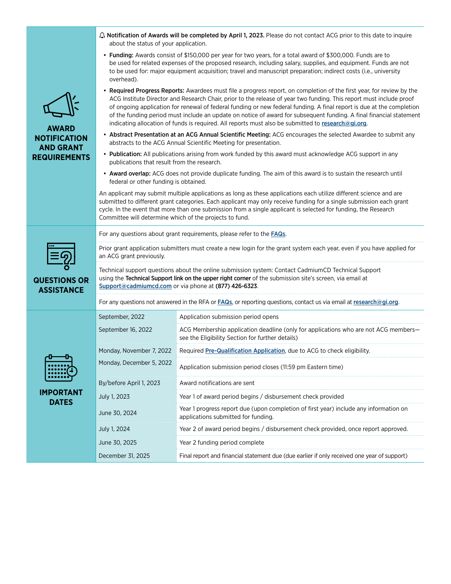|                                                                                | ○ Notification of Awards will be completed by April 1, 2023. Please do not contact ACG prior to this date to inquire<br>about the status of your application.                                                                                                                                                                                                                                                                                                                                                                                                                                      |                                                                                                                                         |
|--------------------------------------------------------------------------------|----------------------------------------------------------------------------------------------------------------------------------------------------------------------------------------------------------------------------------------------------------------------------------------------------------------------------------------------------------------------------------------------------------------------------------------------------------------------------------------------------------------------------------------------------------------------------------------------------|-----------------------------------------------------------------------------------------------------------------------------------------|
| <b>AWARD</b><br><b>NOTIFICATION</b><br><b>AND GRANT</b><br><b>REQUIREMENTS</b> | • Funding: Awards consist of \$150,000 per year for two years, for a total award of \$300,000. Funds are to<br>be used for related expenses of the proposed research, including salary, supplies, and equipment. Funds are not<br>to be used for: major equipment acquisition; travel and manuscript preparation; indirect costs (i.e., university<br>overhead).                                                                                                                                                                                                                                   |                                                                                                                                         |
|                                                                                | • Required Progress Reports: Awardees must file a progress report, on completion of the first year, for review by the<br>ACG Institute Director and Research Chair, prior to the release of year two funding. This report must include proof<br>of ongoing application for renewal of federal funding or new federal funding. A final report is due at the completion<br>of the funding period must include an update on notice of award for subsequent funding. A final financial statement<br>indicating allocation of funds is required. All reports must also be submitted to research@gi.org. |                                                                                                                                         |
|                                                                                | • Abstract Presentation at an ACG Annual Scientific Meeting: ACG encourages the selected Awardee to submit any<br>abstracts to the ACG Annual Scientific Meeting for presentation.                                                                                                                                                                                                                                                                                                                                                                                                                 |                                                                                                                                         |
|                                                                                | • Publication: All publications arising from work funded by this award must acknowledge ACG support in any<br>publications that result from the research.                                                                                                                                                                                                                                                                                                                                                                                                                                          |                                                                                                                                         |
|                                                                                | • Award overlap: ACG does not provide duplicate funding. The aim of this award is to sustain the research until<br>federal or other funding is obtained.                                                                                                                                                                                                                                                                                                                                                                                                                                           |                                                                                                                                         |
|                                                                                | An applicant may submit multiple applications as long as these applications each utilize different science and are<br>submitted to different grant categories. Each applicant may only receive funding for a single submission each grant<br>cycle. In the event that more than one submission from a single applicant is selected for funding, the Research<br>Committee will determine which of the projects to fund.                                                                                                                                                                            |                                                                                                                                         |
| <b>QUESTIONS OR</b><br><b>ASSISTANCE</b>                                       | For any questions about grant requirements, please refer to the <b>FAQs</b> .                                                                                                                                                                                                                                                                                                                                                                                                                                                                                                                      |                                                                                                                                         |
|                                                                                | Prior grant application submitters must create a new login for the grant system each year, even if you have applied for<br>an ACG grant previously.                                                                                                                                                                                                                                                                                                                                                                                                                                                |                                                                                                                                         |
|                                                                                | Technical support questions about the online submission system: Contact CadmiumCD Technical Support<br>using the Technical Support link on the upper right corner of the submission site's screen, via email at<br>Support@cadmiumcd.com or via phone at (877) 426-6323.                                                                                                                                                                                                                                                                                                                           |                                                                                                                                         |
|                                                                                | For any questions not answered in the RFA or FAQs, or reporting questions, contact us via email at research@gi.org.                                                                                                                                                                                                                                                                                                                                                                                                                                                                                |                                                                                                                                         |
| <b>IMPORTANT</b><br><b>DATES</b>                                               | September, 2022                                                                                                                                                                                                                                                                                                                                                                                                                                                                                                                                                                                    | Application submission period opens                                                                                                     |
|                                                                                | September 16, 2022                                                                                                                                                                                                                                                                                                                                                                                                                                                                                                                                                                                 | ACG Membership application deadline (only for applications who are not ACG members-<br>see the Eligibility Section for further details) |
|                                                                                | Monday, November 7, 2022                                                                                                                                                                                                                                                                                                                                                                                                                                                                                                                                                                           | Required Pre-Qualification Application, due to ACG to check eligibility.                                                                |
|                                                                                | Monday, December 5, 2022                                                                                                                                                                                                                                                                                                                                                                                                                                                                                                                                                                           | Application submission period closes (11:59 pm Eastern time)                                                                            |
|                                                                                | By/before April 1, 2023                                                                                                                                                                                                                                                                                                                                                                                                                                                                                                                                                                            | Award notifications are sent                                                                                                            |
|                                                                                | July 1, 2023                                                                                                                                                                                                                                                                                                                                                                                                                                                                                                                                                                                       | Year 1 of award period begins / disbursement check provided                                                                             |
|                                                                                | June 30, 2024                                                                                                                                                                                                                                                                                                                                                                                                                                                                                                                                                                                      | Year 1 progress report due (upon completion of first year) include any information on<br>applications submitted for funding.            |
|                                                                                | July 1, 2024                                                                                                                                                                                                                                                                                                                                                                                                                                                                                                                                                                                       | Year 2 of award period begins / disbursement check provided, once report approved.                                                      |
|                                                                                | June 30, 2025                                                                                                                                                                                                                                                                                                                                                                                                                                                                                                                                                                                      | Year 2 funding period complete                                                                                                          |
|                                                                                | December 31, 2025                                                                                                                                                                                                                                                                                                                                                                                                                                                                                                                                                                                  | Final report and financial statement due (due earlier if only received one year of support)                                             |